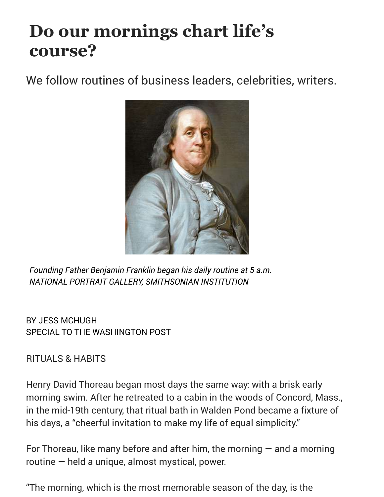## **Do our mornings chart life's course?**

We follow routines of business leaders, celebrities, writers.



*Founding Father Benjamin Franklin began his daily routine at 5 a.m. NATIONAL PORTRAIT GALLERY, SMITHSONIAN INSTITUTION*

BY JESS MCHUGH SPECIAL TO THE WASHINGTON POST

## RITUALS & HABITS

Henry David Thoreau began most days the same way: with a brisk early morning swim. After he retreated to a cabin in the woods of Concord, Mass., in the mid-19th century, that ritual bath in Walden Pond became a fixture of his days, a "cheerful invitation to make my life of equal simplicity."

For Thoreau, like many before and after him, the morning  $-$  and a morning routine — held a unique, almost mystical, power.

"The morning, which is the most memorable season of the day, is the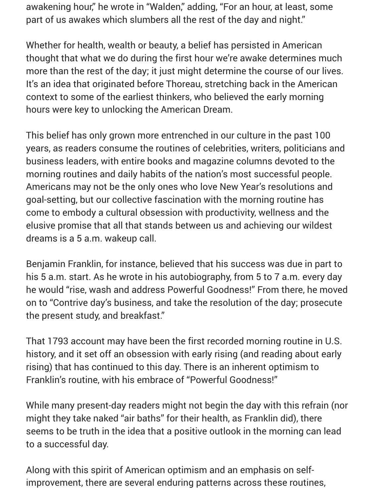awakening hour," he wrote in "Walden," adding, "For an hour, at least, some part of us awakes which slumbers all the rest of the day and night."

Whether for health, wealth or beauty, a belief has persisted in American thought that what we do during the first hour we're awake determines much more than the rest of the day; it just might determine the course of our lives. It's an idea that originated before Thoreau, stretching back in the American context to some of the earliest thinkers, who believed the early morning hours were key to unlocking the American Dream.

This belief has only grown more entrenched in our culture in the past 100 years, as readers consume the routines of celebrities, writers, politicians and business leaders, with entire books and magazine columns devoted to the morning routines and daily habits of the nation's most successful people. Americans may not be the only ones who love New Year's resolutions and goal-setting, but our collective fascination with the morning routine has come to embody a cultural obsession with productivity, wellness and the elusive promise that all that stands between us and achieving our wildest dreams is a 5 a.m. wakeup call.

Benjamin Franklin, for instance, believed that his success was due in part to his 5 a.m. start. As he wrote in his autobiography, from 5 to 7 a.m. every day he would "rise, wash and address Powerful Goodness!" From there, he moved on to "Contrive day's business, and take the resolution of the day; prosecute the present study, and breakfast."

That 1793 account may have been the first recorded morning routine in U.S. history, and it set off an obsession with early rising (and reading about early rising) that has continued to this day. There is an inherent optimism to Franklin's routine, with his embrace of "Powerful Goodness!"

While many present-day readers might not begin the day with this refrain (nor might they take naked "air baths" for their health, as Franklin did), there seems to be truth in the idea that a positive outlook in the morning can lead to a successful day.

Along with this spirit of American optimism and an emphasis on selfimprovement, there are several enduring patterns across these routines,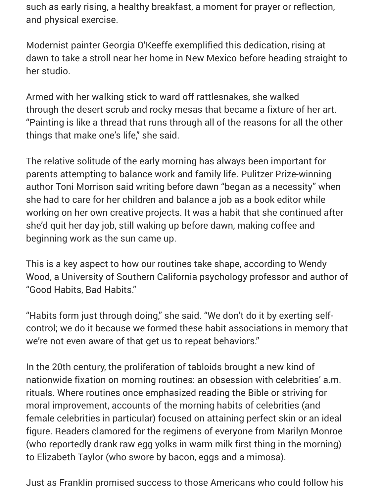such as early rising, a healthy breakfast, a moment for prayer or reflection, and physical exercise.

Modernist painter Georgia O'Keeffe exemplified this dedication, rising at dawn to take a stroll near her home in New Mexico before heading straight to her studio.

Armed with her walking stick to ward off rattlesnakes, she walked through the desert scrub and rocky mesas that became a fixture of her art. "Painting is like a thread that runs through all of the reasons for all the other things that make one's life," she said.

The relative solitude of the early morning has always been important for parents attempting to balance work and family life. Pulitzer Prize-winning author Toni Morrison said writing before dawn "began as a necessity" when she had to care for her children and balance a job as a book editor while working on her own creative projects. It was a habit that she continued after she'd quit her day job, still waking up before dawn, making coffee and beginning work as the sun came up.

This is a key aspect to how our routines take shape, according to Wendy Wood, a University of Southern California psychology professor and author of "Good Habits, Bad Habits."

"Habits form just through doing," she said. "We don't do it by exerting selfcontrol; we do it because we formed these habit associations in memory that we're not even aware of that get us to repeat behaviors."

In the 20th century, the proliferation of tabloids brought a new kind of nationwide fixation on morning routines: an obsession with celebrities' a.m. rituals. Where routines once emphasized reading the Bible or striving for moral improvement, accounts of the morning habits of celebrities (and female celebrities in particular) focused on attaining perfect skin or an ideal figure. Readers clamored for the regimens of everyone from Marilyn Monroe (who reportedly drank raw egg yolks in warm milk first thing in the morning) to Elizabeth Taylor (who swore by bacon, eggs and a mimosa).

Just as Franklin promised success to those Americans who could follow his